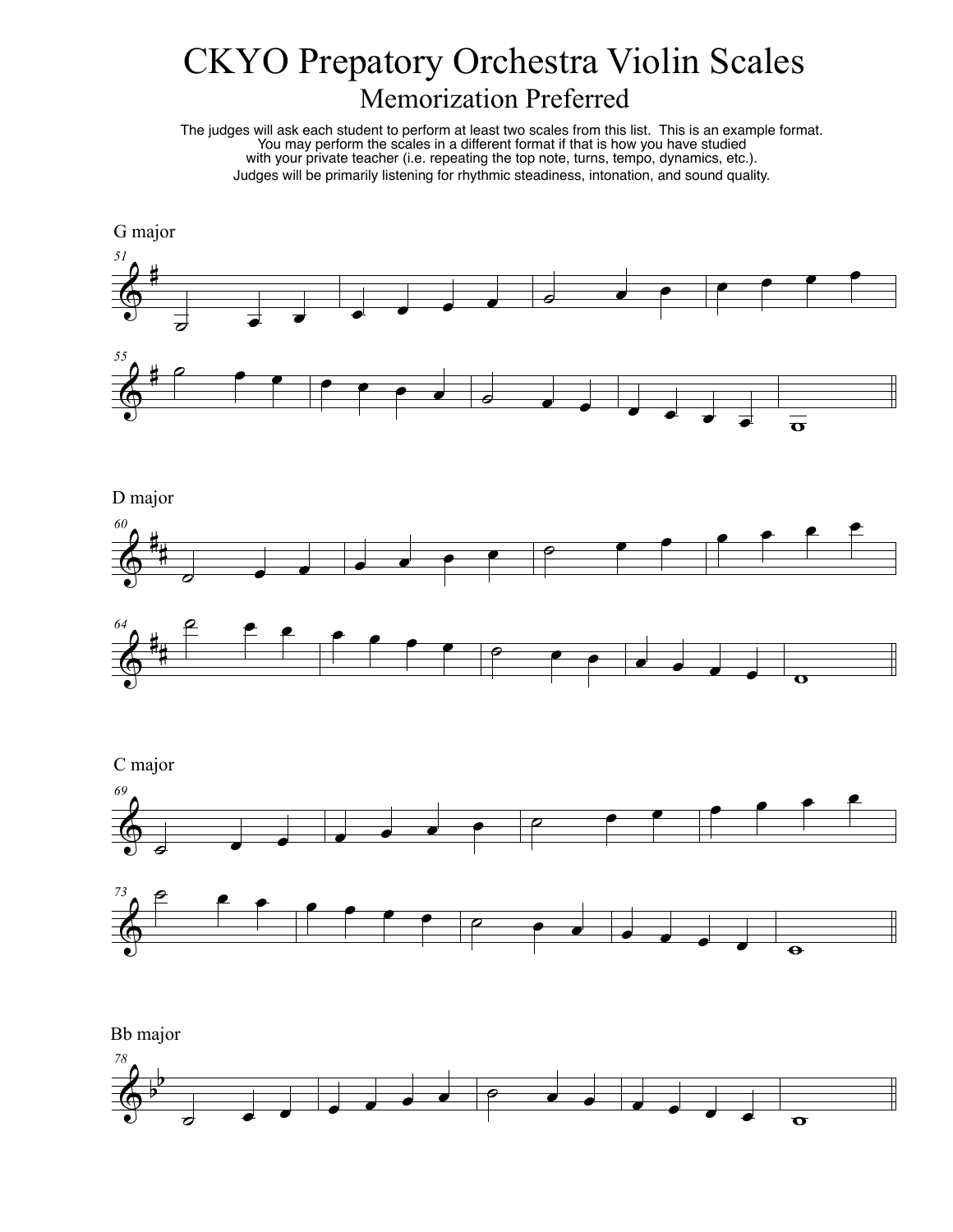## CKYO Prepatory Orchestra Violin Scales Memorization Preferred



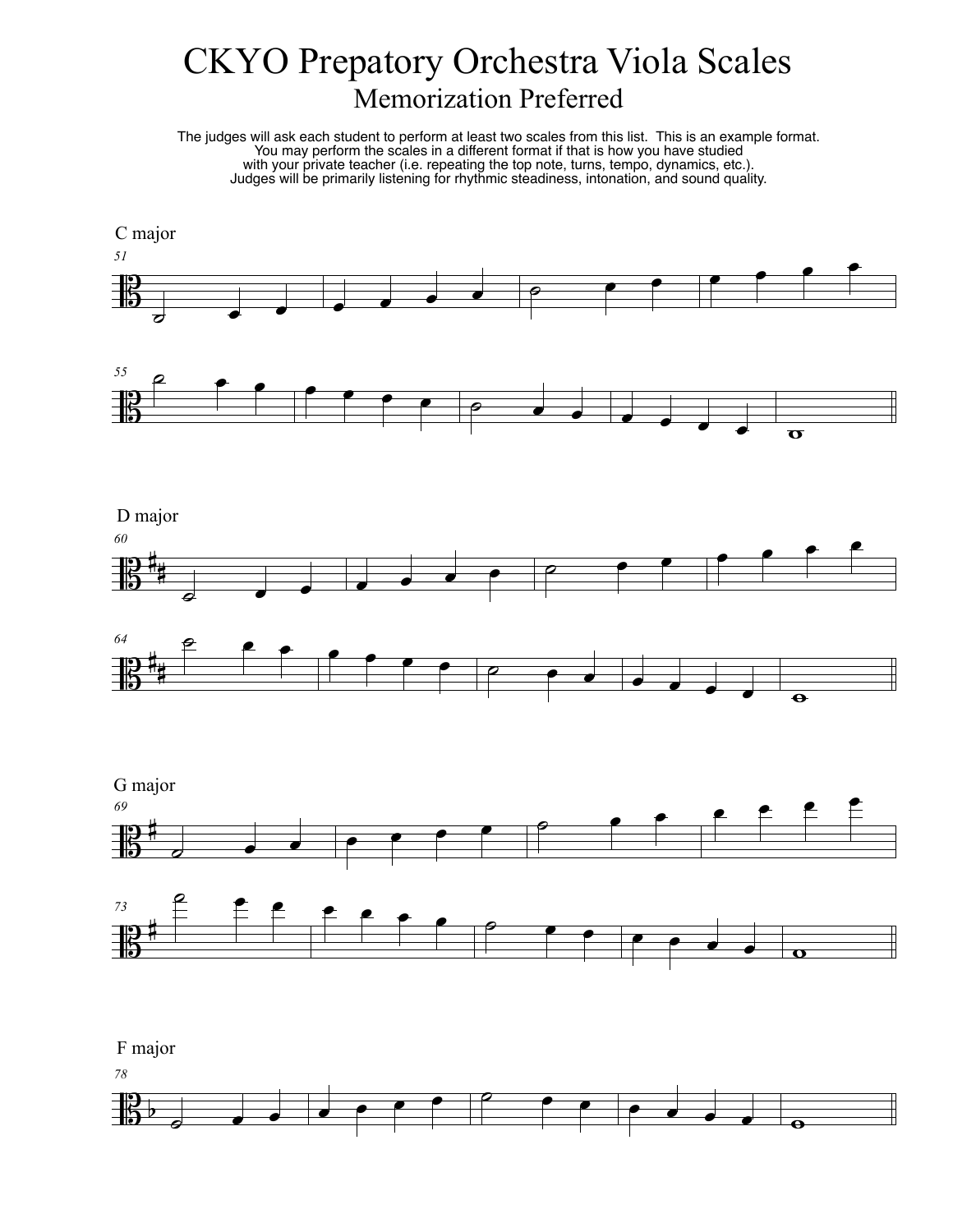## CKYO Prepatory Orchestra Viola Scales Memorization Preferred

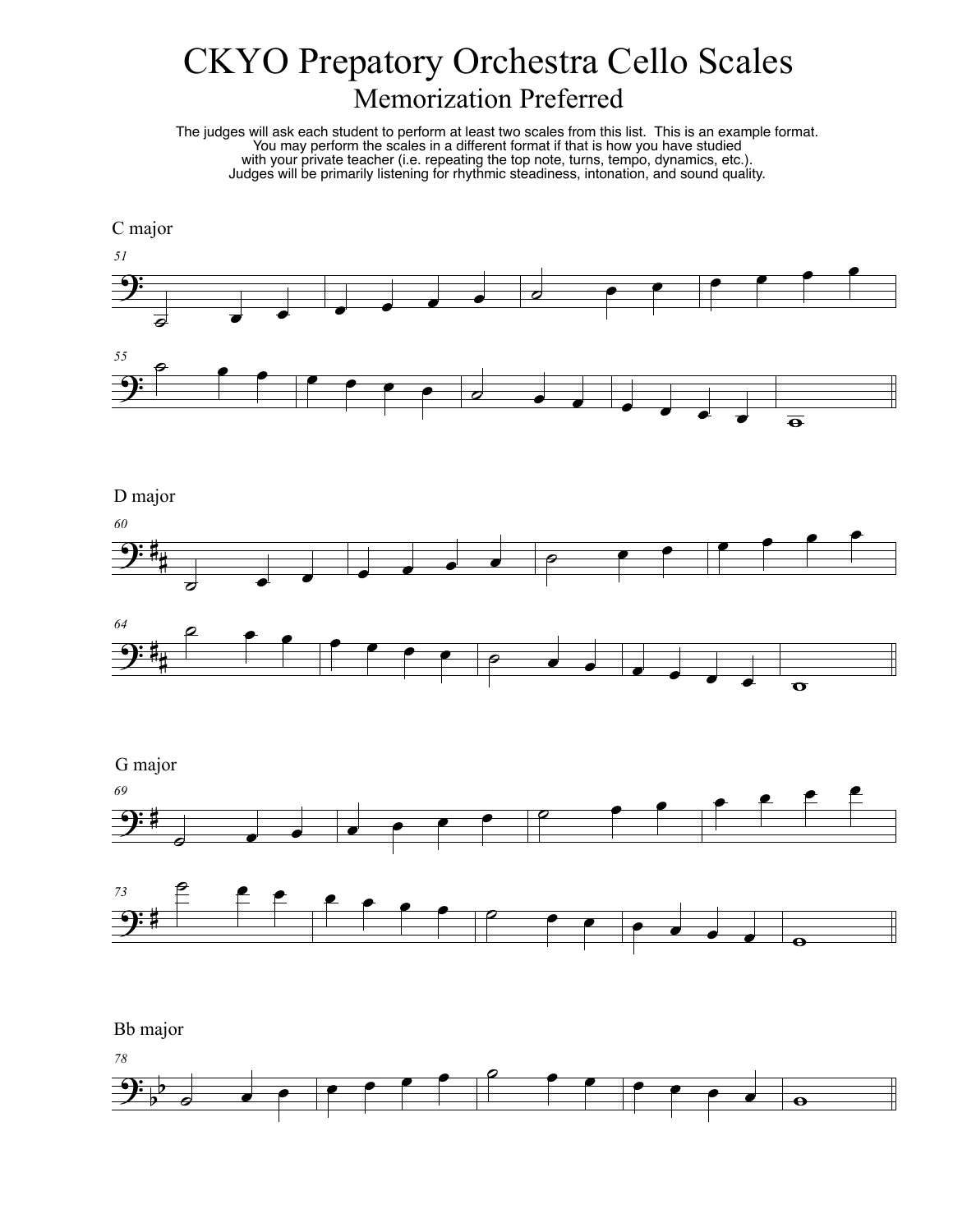## CKYO Prepatory Orchestra Cello Scales Memorization Preferred